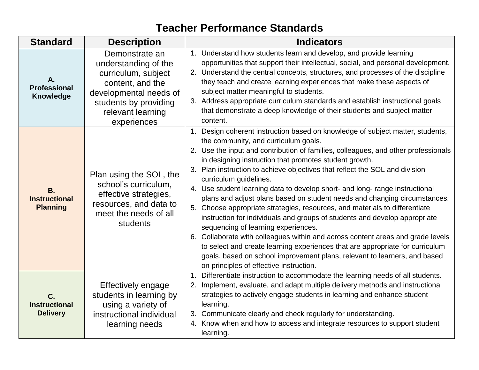## **Teacher Performance Standards**

| <b>Standard</b>                                      | <b>Description</b>                                                                                                                                                       | <b>Indicators</b>                                                                                                                                                                                                                                                                                                                                                                                                                                                                                                                                                                                                                                                                                                                                                                                                                                                                                                                                                                                                                            |
|------------------------------------------------------|--------------------------------------------------------------------------------------------------------------------------------------------------------------------------|----------------------------------------------------------------------------------------------------------------------------------------------------------------------------------------------------------------------------------------------------------------------------------------------------------------------------------------------------------------------------------------------------------------------------------------------------------------------------------------------------------------------------------------------------------------------------------------------------------------------------------------------------------------------------------------------------------------------------------------------------------------------------------------------------------------------------------------------------------------------------------------------------------------------------------------------------------------------------------------------------------------------------------------------|
| А.<br><b>Professional</b><br><b>Knowledge</b>        | Demonstrate an<br>understanding of the<br>curriculum, subject<br>content, and the<br>developmental needs of<br>students by providing<br>relevant learning<br>experiences | 1. Understand how students learn and develop, and provide learning<br>opportunities that support their intellectual, social, and personal development.<br>2. Understand the central concepts, structures, and processes of the discipline<br>they teach and create learning experiences that make these aspects of<br>subject matter meaningful to students.<br>3. Address appropriate curriculum standards and establish instructional goals<br>that demonstrate a deep knowledge of their students and subject matter<br>content.                                                                                                                                                                                                                                                                                                                                                                                                                                                                                                          |
| <b>B.</b><br><b>Instructional</b><br><b>Planning</b> | Plan using the SOL, the<br>school's curriculum,<br>effective strategies,<br>resources, and data to<br>meet the needs of all<br>students                                  | 1. Design coherent instruction based on knowledge of subject matter, students,<br>the community, and curriculum goals.<br>2. Use the input and contribution of families, colleagues, and other professionals<br>in designing instruction that promotes student growth.<br>3. Plan instruction to achieve objectives that reflect the SOL and division<br>curriculum guidelines.<br>4. Use student learning data to develop short- and long- range instructional<br>plans and adjust plans based on student needs and changing circumstances.<br>5. Choose appropriate strategies, resources, and materials to differentiate<br>instruction for individuals and groups of students and develop appropriate<br>sequencing of learning experiences.<br>6. Collaborate with colleagues within and across content areas and grade levels<br>to select and create learning experiences that are appropriate for curriculum<br>goals, based on school improvement plans, relevant to learners, and based<br>on principles of effective instruction. |
| C.<br><b>Instructional</b><br><b>Delivery</b>        | Effectively engage<br>students in learning by<br>using a variety of<br>instructional individual<br>learning needs                                                        | 1. Differentiate instruction to accommodate the learning needs of all students.<br>2. Implement, evaluate, and adapt multiple delivery methods and instructional<br>strategies to actively engage students in learning and enhance student<br>learning.<br>3. Communicate clearly and check regularly for understanding.<br>4. Know when and how to access and integrate resources to support student<br>learning.                                                                                                                                                                                                                                                                                                                                                                                                                                                                                                                                                                                                                           |